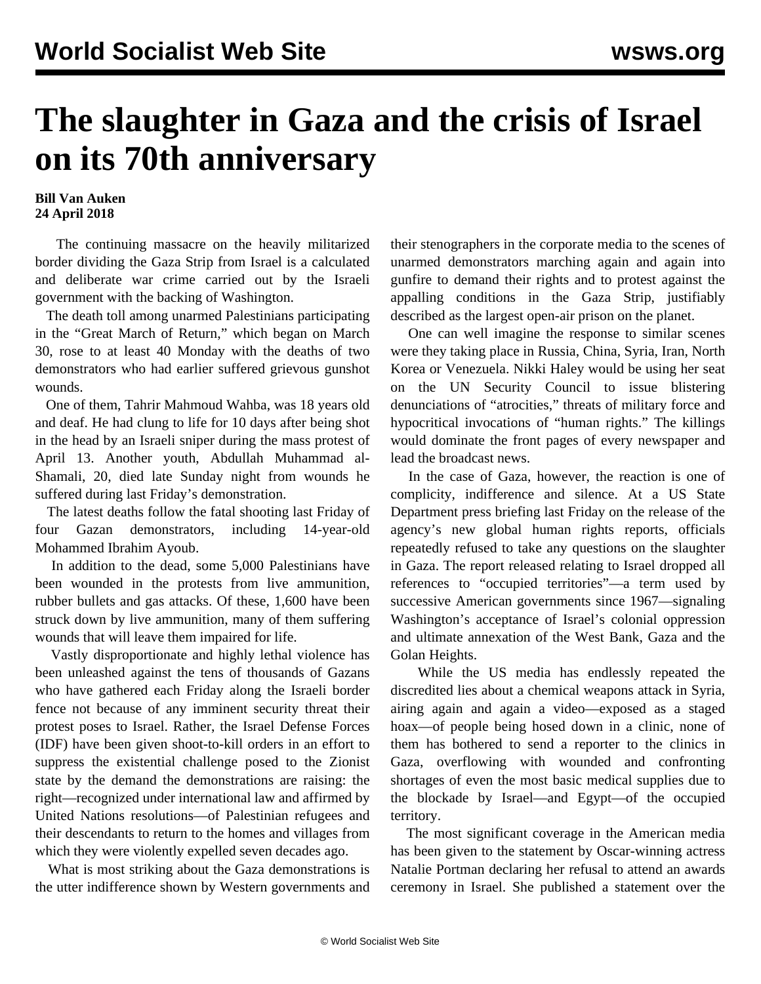## **The slaughter in Gaza and the crisis of Israel on its 70th anniversary**

## **Bill Van Auken 24 April 2018**

 The continuing massacre on the heavily militarized border dividing the Gaza Strip from Israel is a calculated and deliberate war crime carried out by the Israeli government with the backing of Washington.

 The death toll among unarmed Palestinians participating in the "Great March of Return," which began on March 30, rose to at least 40 Monday with the deaths of two demonstrators who had earlier suffered grievous gunshot wounds.

 One of them, Tahrir Mahmoud Wahba, was 18 years old and deaf. He had clung to life for 10 days after being shot in the head by an Israeli sniper during the mass protest of April 13. Another youth, Abdullah Muhammad al-Shamali, 20, died late Sunday night from wounds he suffered during last Friday's demonstration.

 The latest deaths follow the fatal shooting last Friday of four Gazan demonstrators, including 14-year-old Mohammed Ibrahim Ayoub.

 In addition to the dead, some 5,000 Palestinians have been wounded in the protests from live ammunition, rubber bullets and gas attacks. Of these, 1,600 have been struck down by live ammunition, many of them suffering wounds that will leave them impaired for life.

 Vastly disproportionate and highly lethal violence has been unleashed against the tens of thousands of Gazans who have gathered each Friday along the Israeli border fence not because of any imminent security threat their protest poses to Israel. Rather, the Israel Defense Forces (IDF) have been given shoot-to-kill orders in an effort to suppress the existential challenge posed to the Zionist state by the demand the demonstrations are raising: the right—recognized under international law and affirmed by United Nations resolutions—of Palestinian refugees and their descendants to return to the homes and villages from which they were violently expelled seven decades ago.

 What is most striking about the Gaza demonstrations is the utter indifference shown by Western governments and

their stenographers in the corporate media to the scenes of unarmed demonstrators marching again and again into gunfire to demand their rights and to protest against the appalling conditions in the Gaza Strip, justifiably described as the largest open-air prison on the planet.

 One can well imagine the response to similar scenes were they taking place in Russia, China, Syria, Iran, North Korea or Venezuela. Nikki Haley would be using her seat on the UN Security Council to issue blistering denunciations of "atrocities," threats of military force and hypocritical invocations of "human rights." The killings would dominate the front pages of every newspaper and lead the broadcast news.

 In the case of Gaza, however, the reaction is one of complicity, indifference and silence. At a US State Department press briefing last Friday on the release of the agency's new global human rights reports, officials repeatedly refused to take any questions on the slaughter in Gaza. The report released relating to Israel dropped all references to "occupied territories"—a term used by successive American governments since 1967—signaling Washington's acceptance of Israel's colonial oppression and ultimate annexation of the West Bank, Gaza and the Golan Heights.

 While the US media has endlessly repeated the discredited lies about a chemical weapons attack in Syria, airing again and again a video—exposed as a staged hoax—of people being hosed down in a clinic, none of them has bothered to send a reporter to the clinics in Gaza, overflowing with wounded and confronting shortages of even the most basic medical supplies due to the blockade by Israel—and Egypt—of the occupied territory.

 The most significant coverage in the American media has been given to the statement by Oscar-winning actress Natalie Portman declaring her refusal to attend an awards ceremony in Israel. She published a statement over the